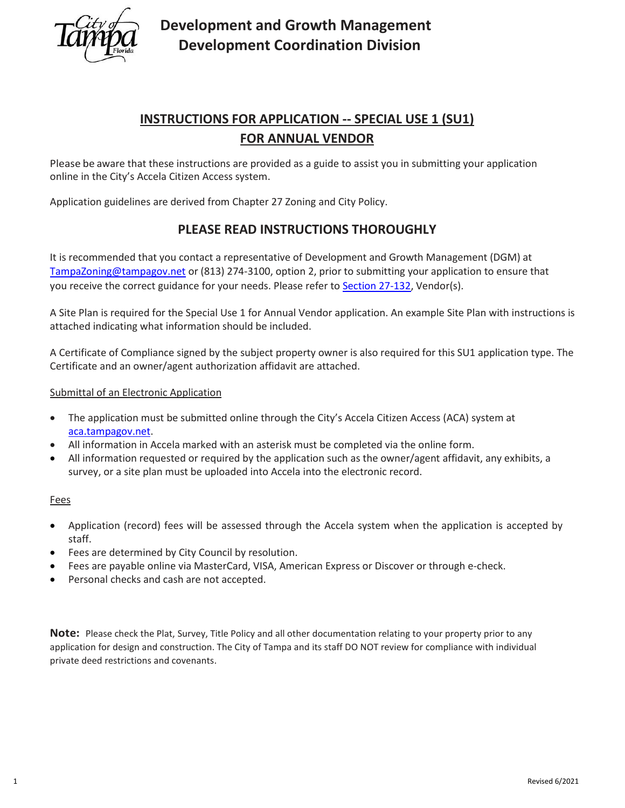

**Development and Growth Management Development Coordination Division**

### **INSTRUCTIONS FOR APPLICATION -- SPECIAL USE 1 (SU1) FOR ANNUAL VENDOR**

Please be aware that these instructions are provided as a guide to assist you in submitting your application online in the City's Accela Citizen Access system.

Application guidelines are derived from Chapter 27 Zoning and City Policy.

### **PLEASE READ INSTRUCTIONS THOROUGHLY**

It is recommended that you contact a representative of Development and Growth Management (DGM) at [TampaZoning@tampagov.net](mailto:TampaZoning@tampagov.net) or (813) 274-3100, option 2, prior to submitting your application to ensure that you receive the correct guidance for your needs. Please refer t[o Section 27-132,](https://library.municode.com/fl/tampa/codes/code_of_ordinances?nodeId=COOR_CH27ZOLADE_ARTIIADGEPR_DIV5SPUSPEPR_S27-132REGOINSPUS) Vendor(s).

A Site Plan is required for the Special Use 1 for Annual Vendor application. An example Site Plan with instructions is attached indicating what information should be included.

A Certificate of Compliance signed by the subject property owner is also required for this SU1 application type. The Certificate and an owner/agent authorization affidavit are attached.

Submittal of an Electronic Application

- The application must be submitted online through the City's Accela Citizen Access (ACA) system at [aca.tampagov.net.](https://aca.tampagov.net/citizenaccess/default.aspx)
- All information in Accela marked with an asterisk must be completed via the online form.
- All information requested or required by the application such as the owner/agent affidavit, any exhibits, a survey, or a site plan must be uploaded into Accela into the electronic record.

**Fees** 

- Application (record) fees will be assessed through the Accela system when the application is accepted by staff.
- Fees are determined by City Council by resolution.
- Fees are payable online via MasterCard, VISA, American Express or Discover or through e-check.
- Personal checks and cash are not accepted.

**Note:** Please check the Plat, Survey, Title Policy and all other documentation relating to your property prior to any application for design and construction. The City of Tampa and its staff DO NOT review for compliance with individual private deed restrictions and covenants.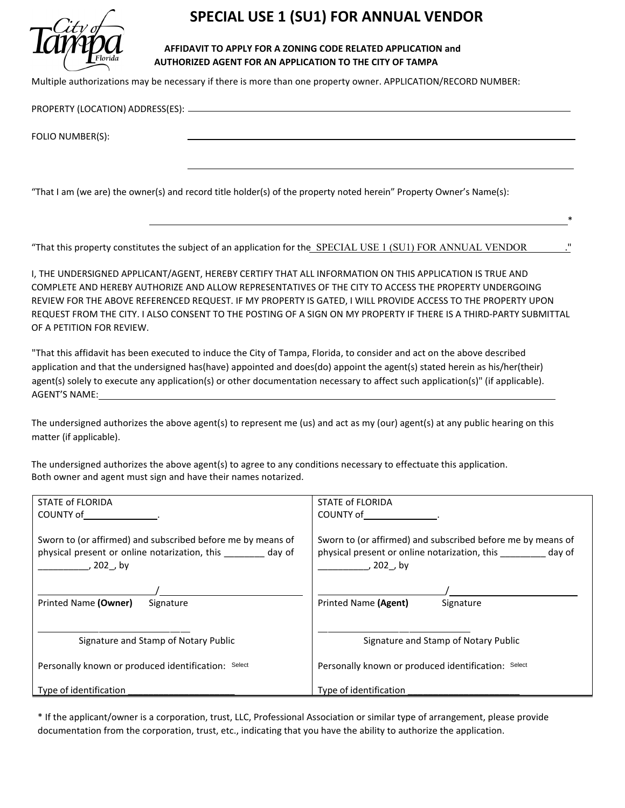

## **SPECIAL USE 1 (SU1) FOR ANNUAL VENDOR**

 $*$ 

#### **AFFIDAVIT TO APPLY FOR A ZONING CODE RELATED APPLICATION and AUTHORIZED AGENT FOR AN APPLICATION TO THE CITY OF TAMPA**

Multiple authorizations may be necessary if there is more than one property owner. APPLICATION/RECORD NUMBER:

PROPERTY (LOCATION) ADDRESS(ES):

FOLIO NUMBER(S):

"That I am (we are) the owner(s) and record title holder(s) of the property noted herein" Property Owner's Name(s):

"That this property constitutes the subject of an application for the SPECIAL USE 1 (SU1) FOR ANNUAL VENDOR

I, THE UNDERSIGNED APPLICANT/AGENT, HEREBY CERTIFY THAT ALL INFORMATION ON THIS APPLICATION IS TRUE AND COMPLETE AND HEREBY AUTHORIZE AND ALLOW REPRESENTATIVES OF THE CITY TO ACCESS THE PROPERTY UNDERGOING REVIEW FOR THE ABOVE REFERENCED REQUEST. IF MY PROPERTY IS GATED, I WILL PROVIDE ACCESS TO THE PROPERTY UPON REQUEST FROM THE CITY. I ALSO CONSENT TO THE POSTING OF A SIGN ON MY PROPERTY IF THERE IS A THIRD-PARTY SUBMITTAL OF A PETITION FOR REVIEW.

"That this affidavit has been executed to induce the City of Tampa, Florida, to consider and act on the above described application and that the undersigned has(have) appointed and does(do) appoint the agent(s) stated herein as his/her(their) agent(s) solely to execute any application(s) or other documentation necessary to affect such application(s)" (if applicable). AGENT'S NAME:

The undersigned authorizes the above agent(s) to represent me (us) and act as my (our) agent(s) at any public hearing on this matter (if applicable).

The undersigned authorizes the above agent(s) to agree to any conditions necessary to effectuate this application. Both owner and agent must sign and have their names notarized.

| <b>STATE of FLORIDA</b>                                                                                                         | STATE of FLORIDA                                                                                                                |
|---------------------------------------------------------------------------------------------------------------------------------|---------------------------------------------------------------------------------------------------------------------------------|
| COUNTY of the country of                                                                                                        | COUNTY of the country of                                                                                                        |
| Sworn to (or affirmed) and subscribed before me by means of<br>physical present or online notarization, this day of<br>, 202,by | Sworn to (or affirmed) and subscribed before me by means of<br>physical present or online notarization, this day of<br>, 202,by |
|                                                                                                                                 |                                                                                                                                 |
| Printed Name (Owner)<br>Signature                                                                                               | Printed Name (Agent)<br>Signature                                                                                               |
| Signature and Stamp of Notary Public                                                                                            | Signature and Stamp of Notary Public                                                                                            |
| Personally known or produced identification: Select                                                                             | Personally known or produced identification: Select                                                                             |
| Type of identification                                                                                                          | Type of identification                                                                                                          |

\* If the applicant/owner is a corporation, trust, LLC, Professional Association or similar type of arrangement, please provide documentation from the corporation, trust, etc., indicating that you have the ability to authorize the application.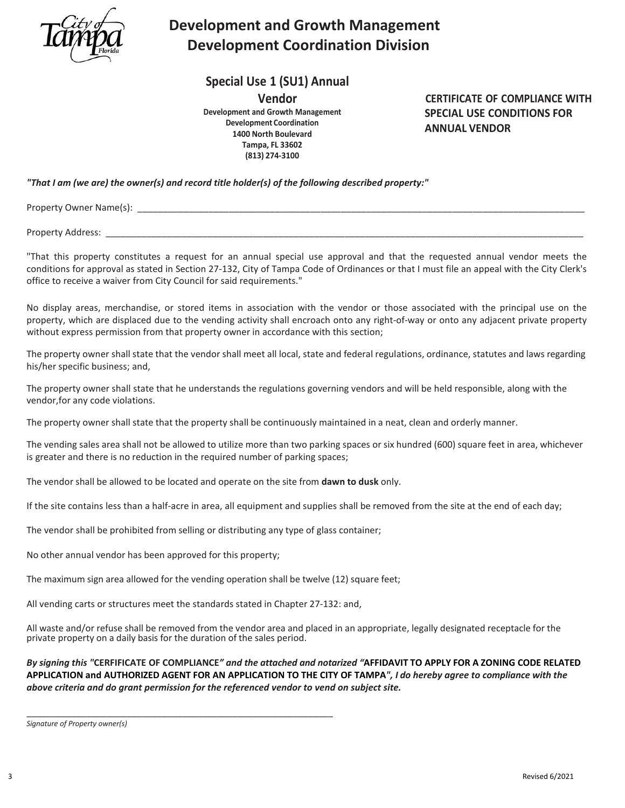

# **Development and Growth Management Development Coordination Division**

**Special Use 1 (SU1) Annual**

**Vendor**

**Development and Growth Management Development Coordination 1400 North Boulevard Tampa, FL 33602 (813) 274-3100**

**CERTIFICATE OF COMPLIANCE WITH SPECIAL USE CONDITIONS FOR ANNUAL VENDOR**

*"That I am (we are) the owner(s) and record title holder(s) of the following described property:"*

Property Owner Name(s): \_\_\_\_\_\_\_\_\_\_\_\_\_\_\_\_\_\_\_\_\_\_\_\_\_\_\_\_\_\_\_\_\_\_\_\_\_\_\_\_\_\_\_\_\_\_\_\_\_\_\_\_\_\_\_\_\_\_\_\_\_\_\_\_\_\_\_\_\_\_\_\_\_\_\_\_\_\_\_\_\_\_\_\_\_\_\_\_

Property Address:

"That this property constitutes a request for an annual special use approval and that the requested annual vendor meets the conditions for approval as stated in Section 27-132, City of Tampa Code of Ordinances or that I must file an appeal with the City Clerk's office to receive a waiver from City Council for said requirements."

No display areas, merchandise, or stored items in association with the vendor or those associated with the principal use on the property, which are displaced due to the vending activity shall encroach onto any right-of-way or onto any adjacent private property without express permission from that property owner in accordance with this section;

The property owner shall state that the vendor shall meet all local, state and federal regulations, ordinance, statutes and laws regarding his/her specific business; and,

The property owner shall state that he understands the regulations governing vendors and will be held responsible, along with the vendor,for any code violations.

The property owner shall state that the property shall be continuously maintained in a neat, clean and orderly manner.

The vending sales area shall not be allowed to utilize more than two parking spaces or six hundred (600) square feet in area, whichever is greater and there is no reduction in the required number of parking spaces;

The vendor shall be allowed to be located and operate on the site from **dawn to dusk** only.

If the site contains less than a half-acre in area, all equipment and supplies shall be removed from the site at the end of each day;

The vendor shall be prohibited from selling or distributing any type of glass container;

No other annual vendor has been approved for this property;

The maximum sign area allowed for the vending operation shall be twelve (12) square feet;

All vending carts or structures meet the standards stated in Chapter 27-132: and,

\_\_\_\_\_\_\_\_\_\_\_\_\_\_\_\_\_\_\_\_\_\_\_\_\_\_\_\_\_\_\_\_\_\_\_\_\_\_\_\_\_\_\_\_\_\_\_\_\_\_\_\_\_\_\_\_\_\_\_\_\_

All waste and/or refuse shall be removed from the vendor area and placed in an appropriate, legally designated receptacle for the private property on a daily basis for the duration of the sales period.

By signing this "CERFIFICATE OF COMPLIANCE" and the attached and notarized "AFFIDAVIT TO APPLY FOR A ZONING CODE RELATED APPLICATION and AUTHORIZED AGENT FOR AN APPLICATION TO THE CITY OF TAMPA", I do hereby agree to compliance with the *above criteria and do grant permission for the referenced vendor to vend on subject site.*

*Signature of Property owner(s)*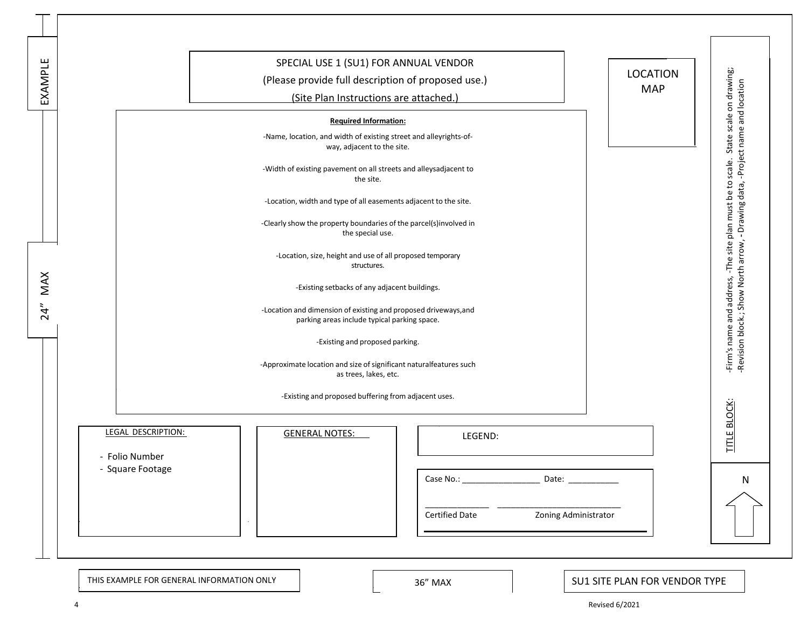

THIS EXAMPLE FOR GENERAL INFORMATION ONLY **Fig. 1** 36" MAX

#### SU1 SITE PLAN FOR VENDOR TYPE